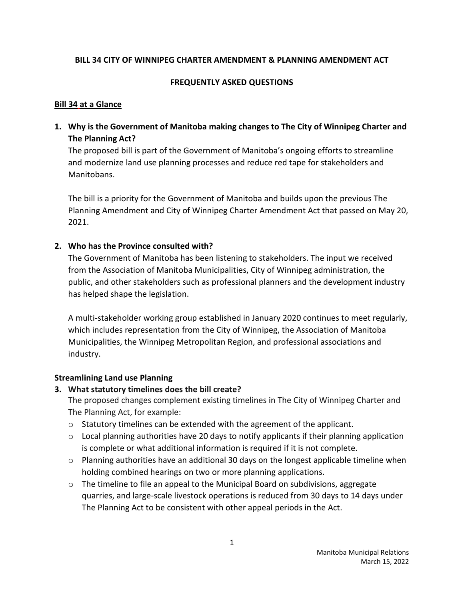## **BILL 34 CITY OF WINNIPEG CHARTER AMENDMENT & PLANNING AMENDMENT ACT**

## **FREQUENTLY ASKED QUESTIONS**

## **Bill 34 at a Glance**

**1. Why is the Government of Manitoba making changes to The City of Winnipeg Charter and The Planning Act?**

The proposed bill is part of the Government of Manitoba's ongoing efforts to streamline and modernize land use planning processes and reduce red tape for stakeholders and Manitobans.

The bill is a priority for the Government of Manitoba and builds upon the previous The Planning Amendment and City of Winnipeg Charter Amendment Act that passed on May 20, 2021.

# **2. Who has the Province consulted with?**

The Government of Manitoba has been listening to stakeholders. The input we received from the Association of Manitoba Municipalities, City of Winnipeg administration, the public, and other stakeholders such as professional planners and the development industry has helped shape the legislation.

A multi-stakeholder working group established in January 2020 continues to meet regularly, which includes representation from the City of Winnipeg, the Association of Manitoba Municipalities, the Winnipeg Metropolitan Region, and professional associations and industry.

# **Streamlining Land use Planning**

# **3. What statutory timelines does the bill create?**

The proposed changes complement existing timelines in The City of Winnipeg Charter and The Planning Act, for example:

- o Statutory timelines can be extended with the agreement of the applicant.
- o Local planning authorities have 20 days to notify applicants if their planning application is complete or what additional information is required if it is not complete.
- $\circ$  Planning authorities have an additional 30 days on the longest applicable timeline when holding combined hearings on two or more planning applications.
- $\circ$  The timeline to file an appeal to the Municipal Board on subdivisions, aggregate quarries, and large-scale livestock operations is reduced from 30 days to 14 days under The Planning Act to be consistent with other appeal periods in the Act.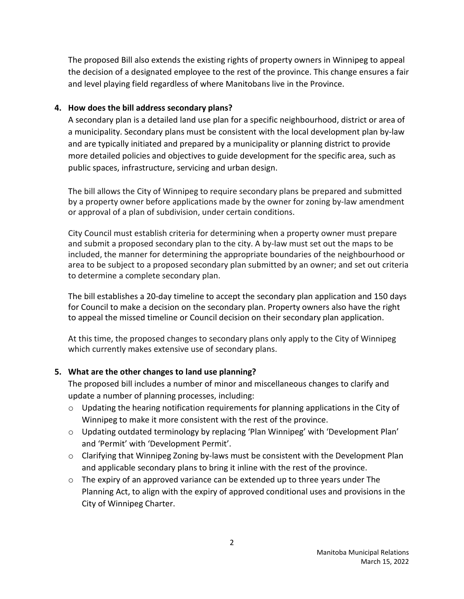The proposed Bill also extends the existing rights of property owners in Winnipeg to appeal the decision of a designated employee to the rest of the province. This change ensures a fair and level playing field regardless of where Manitobans live in the Province.

# **4. How does the bill address secondary plans?**

A secondary plan is a detailed land use plan for a specific neighbourhood, district or area of a municipality. Secondary plans must be consistent with the local development plan by-law and are typically initiated and prepared by a municipality or planning district to provide more detailed policies and objectives to guide development for the specific area, such as public spaces, infrastructure, servicing and urban design.

The bill allows the City of Winnipeg to require secondary plans be prepared and submitted by a property owner before applications made by the owner for zoning by-law amendment or approval of a plan of subdivision, under certain conditions.

City Council must establish criteria for determining when a property owner must prepare and submit a proposed secondary plan to the city. A by-law must set out the maps to be included, the manner for determining the appropriate boundaries of the neighbourhood or area to be subject to a proposed secondary plan submitted by an owner; and set out criteria to determine a complete secondary plan.

The bill establishes a 20-day timeline to accept the secondary plan application and 150 days for Council to make a decision on the secondary plan. Property owners also have the right to appeal the missed timeline or Council decision on their secondary plan application.

At this time, the proposed changes to secondary plans only apply to the City of Winnipeg which currently makes extensive use of secondary plans.

# **5. What are the other changes to land use planning?**

The proposed bill includes a number of minor and miscellaneous changes to clarify and update a number of planning processes, including:

- o Updating the hearing notification requirements for planning applications in the City of Winnipeg to make it more consistent with the rest of the province.
- $\circ$  Updating outdated terminology by replacing 'Plan Winnipeg' with 'Development Plan' and 'Permit' with 'Development Permit'.
- $\circ$  Clarifying that Winnipeg Zoning by-laws must be consistent with the Development Plan and applicable secondary plans to bring it inline with the rest of the province.
- o The expiry of an approved variance can be extended up to three years under The Planning Act, to align with the expiry of approved conditional uses and provisions in the City of Winnipeg Charter.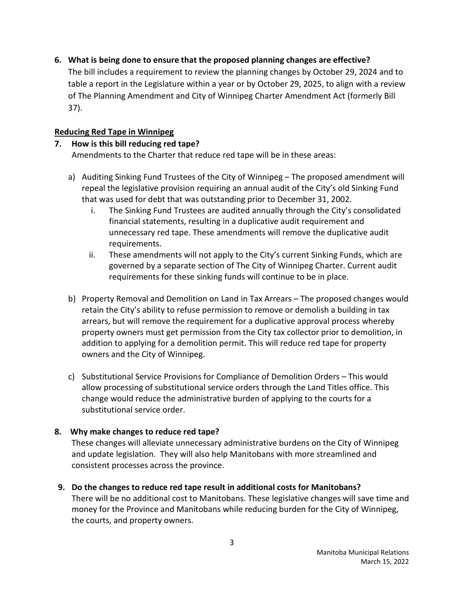**6. What is being done to ensure that the proposed planning changes are effective?** 

The bill includes a requirement to review the planning changes by October 29, 2024 and to table a report in the Legislature within a year or by October 29, 2025, to align with a review of The Planning Amendment and City of Winnipeg Charter Amendment Act (formerly Bill 37).

# **Reducing Red Tape in Winnipeg**

#### **7. How is this bill reducing red tape?** Amendments to the Charter that reduce red tape will be in these areas:

- a) Auditing Sinking Fund Trustees of the City of Winnipeg The proposed amendment will repeal the legislative provision requiring an annual audit of the City's old Sinking Fund that was used for debt that was outstanding prior to December 31, 2002.
	- i. The Sinking Fund Trustees are audited annually through the City's consolidated financial statements, resulting in a duplicative audit requirement and unnecessary red tape. These amendments will remove the duplicative audit requirements.
	- ii. These amendments will not apply to the City's current Sinking Funds, which are governed by a separate section of The City of Winnipeg Charter. Current audit requirements for these sinking funds will continue to be in place.
- b) Property Removal and Demolition on Land in Tax Arrears The proposed changes would retain the City's ability to refuse permission to remove or demolish a building in tax arrears, but will remove the requirement for a duplicative approval process whereby property owners must get permission from the City tax collector prior to demolition, in addition to applying for a demolition permit. This will reduce red tape for property owners and the City of Winnipeg.
- c) Substitutional Service Provisions for Compliance of Demolition Orders This would allow processing of substitutional service orders through the Land Titles office. This change would reduce the administrative burden of applying to the courts for a substitutional service order.

# **8. Why make changes to reduce red tape?**

These changes will alleviate unnecessary administrative burdens on the City of Winnipeg and update legislation. They will also help Manitobans with more streamlined and consistent processes across the province.

**9. Do the changes to reduce red tape result in additional costs for Manitobans?** There will be no additional cost to Manitobans. These legislative changes will save time and money for the Province and Manitobans while reducing burden for the City of Winnipeg, the courts, and property owners.